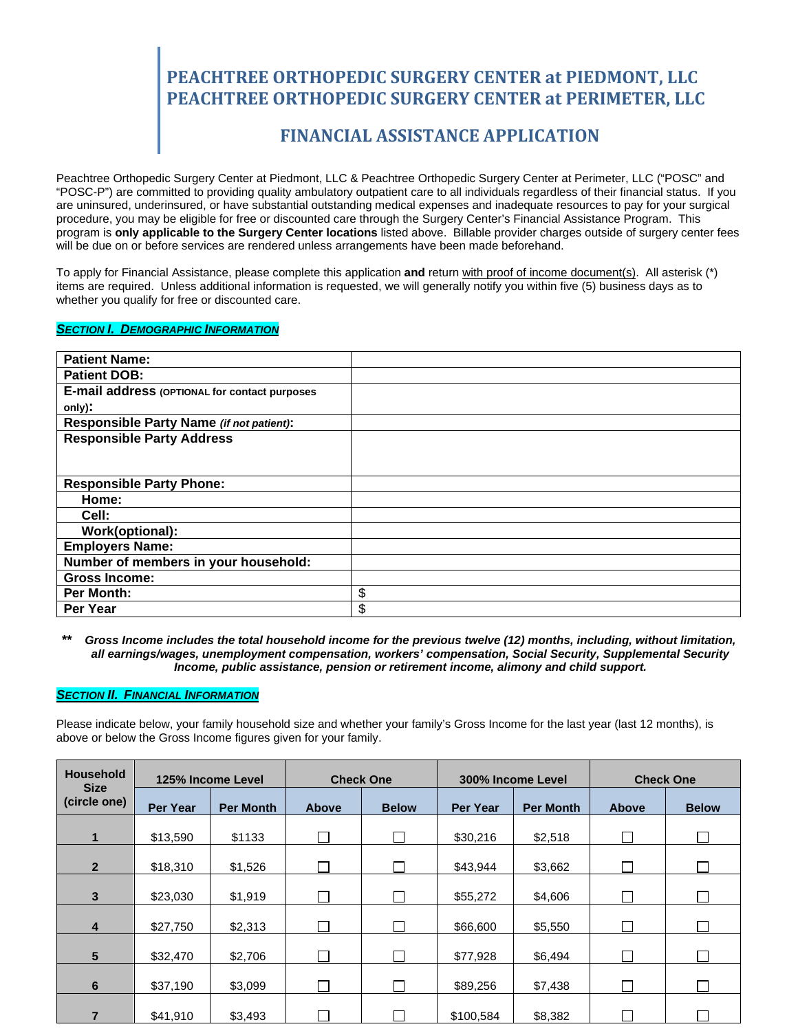## **FINANCIAL ASSISTANCE APPLICATION**

Peachtree Orthopedic Surgery Center at Piedmont, LLC & Peachtree Orthopedic Surgery Center at Perimeter, LLC ("POSC" and "POSC-P") are committed to providing quality ambulatory outpatient care to all individuals regardless of their financial status. If you are uninsured, underinsured, or have substantial outstanding medical expenses and inadequate resources to pay for your surgical procedure, you may be eligible for free or discounted care through the Surgery Center's Financial Assistance Program. This program is **only applicable to the Surgery Center locations** listed above. Billable provider charges outside of surgery center fees will be due on or before services are rendered unless arrangements have been made beforehand.

To apply for Financial Assistance, please complete this application **and** return with proof of income document(s). All asterisk (\*) items are required. Unless additional information is requested, we will generally notify you within five (5) business days as to whether you qualify for free or discounted care.

#### *SECTION I. DEMOGRAPHIC INFORMATION*

| <b>Patient Name:</b>                          |    |
|-----------------------------------------------|----|
| <b>Patient DOB:</b>                           |    |
| E-mail address (OPTIONAL for contact purposes |    |
| only).                                        |    |
| Responsible Party Name (if not patient):      |    |
| <b>Responsible Party Address</b>              |    |
|                                               |    |
|                                               |    |
| <b>Responsible Party Phone:</b>               |    |
| Home:                                         |    |
| Cell:                                         |    |
| Work(optional):                               |    |
| <b>Employers Name:</b>                        |    |
| Number of members in your household:          |    |
| <b>Gross Income:</b>                          |    |
| <b>Per Month:</b>                             | \$ |
| Per Year                                      | \$ |

*\*\* Gross Income includes the total household income for the previous twelve (12) months, including, without limitation, all earnings/wages, unemployment compensation, workers' compensation, Social Security, Supplemental Security Income, public assistance, pension or retirement income, alimony and child support.*

### *SECTION II. FINANCIAL INFORMATION*

Please indicate below, your family household size and whether your family's Gross Income for the last year (last 12 months), is above or below the Gross Income figures given for your family.

| <b>Household</b><br><b>Size</b> | 125% Income Level |                  | <b>Check One</b> |              | 300% Income Level |                  | <b>Check One</b>            |                          |
|---------------------------------|-------------------|------------------|------------------|--------------|-------------------|------------------|-----------------------------|--------------------------|
| (circle one)                    | <b>Per Year</b>   | <b>Per Month</b> | <b>Above</b>     | <b>Below</b> | <b>Per Year</b>   | <b>Per Month</b> | <b>Above</b>                | <b>Below</b>             |
| $\mathbf{1}$                    | \$13,590          | \$1133           |                  |              | \$30,216          | \$2,518          | П                           |                          |
| $\overline{2}$                  | \$18,310          | \$1,526          |                  |              | \$43,944          | \$3,662          | П                           |                          |
| 3                               | \$23,030          | \$1,919          |                  |              | \$55,272          | \$4,606          | m.                          |                          |
| 4                               | \$27,750          | \$2,313          |                  |              | \$66,600          | \$5,550          | $\overline{\phantom{a}}$    |                          |
| 5                               | \$32,470          | \$2,706          |                  |              | \$77,928          | \$6,494          |                             |                          |
| 6                               | \$37,190          | \$3,099          |                  |              | \$89,256          | \$7,438          | $\mathcal{L}_{\mathcal{A}}$ | $\overline{\phantom{a}}$ |
| $\overline{7}$                  | \$41,910          | \$3,493          |                  |              | \$100,584         | \$8,382          |                             |                          |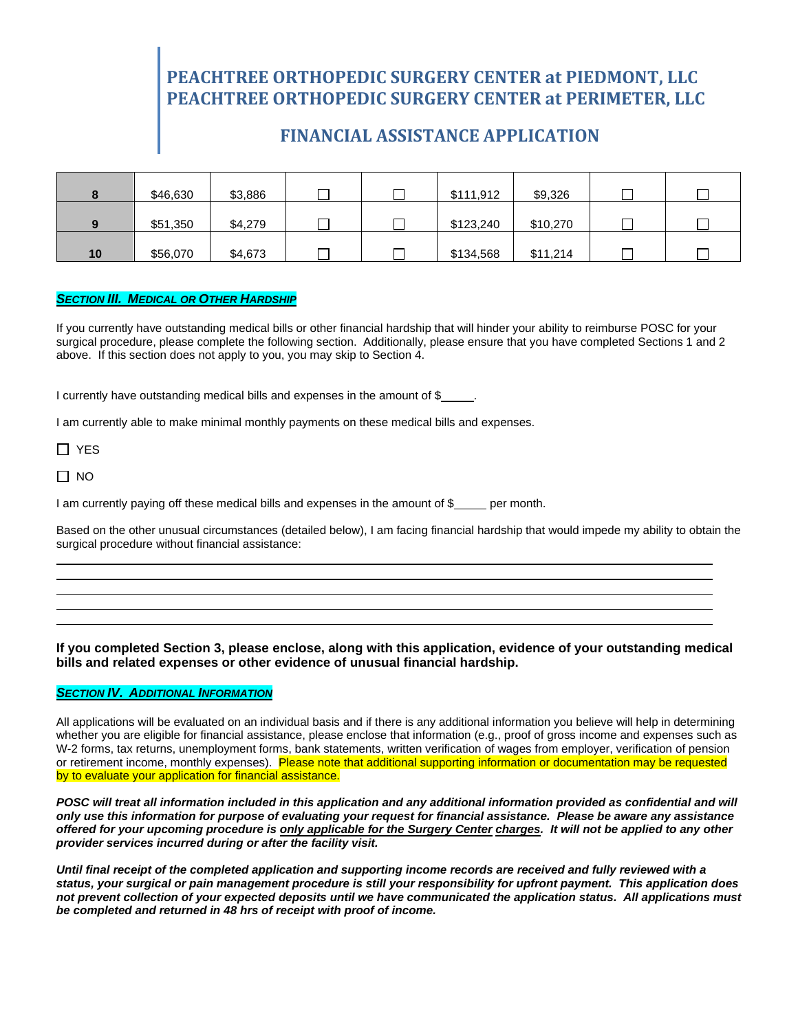## **FINANCIAL ASSISTANCE APPLICATION**

|    | \$46,630 | \$3,886 |  | \$111,912 | \$9,326  |  |
|----|----------|---------|--|-----------|----------|--|
|    | \$51,350 | \$4,279 |  | \$123,240 | \$10,270 |  |
| 10 | \$56,070 | \$4,673 |  | \$134,568 | \$11,214 |  |

#### *SECTION III. MEDICAL OR OTHER HARDSHIP*

If you currently have outstanding medical bills or other financial hardship that will hinder your ability to reimburse POSC for your surgical procedure, please complete the following section. Additionally, please ensure that you have completed Sections 1 and 2 above. If this section does not apply to you, you may skip to Section 4.

I currently have outstanding medical bills and expenses in the amount of \$

I am currently able to make minimal monthly payments on these medical bills and expenses.

□ YES

 $\Box$  NO

I am currently paying off these medical bills and expenses in the amount of \$ per month.

Based on the other unusual circumstances (detailed below), I am facing financial hardship that would impede my ability to obtain the surgical procedure without financial assistance:

**If you completed Section 3, please enclose, along with this application, evidence of your outstanding medical bills and related expenses or other evidence of unusual financial hardship.**

### *SECTION IV. ADDITIONAL INFORMATION*

All applications will be evaluated on an individual basis and if there is any additional information you believe will help in determining whether you are eligible for financial assistance, please enclose that information (e.g., proof of gross income and expenses such as W-2 forms, tax returns, unemployment forms, bank statements, written verification of wages from employer, verification of pension or retirement income, monthly expenses). Please note that additional supporting information or documentation may be requested by to evaluate your application for financial assistance.

*POSC will treat all information included in this application and any additional information provided as confidential and will only use this information for purpose of evaluating your request for financial assistance. Please be aware any assistance offered for your upcoming procedure is only applicable for the Surgery Center charges. It will not be applied to any other provider services incurred during or after the facility visit.*

*Until final receipt of the completed application and supporting income records are received and fully reviewed with a status, your surgical or pain management procedure is still your responsibility for upfront payment. This application does not prevent collection of your expected deposits until we have communicated the application status. All applications must be completed and returned in 48 hrs of receipt with proof of income.*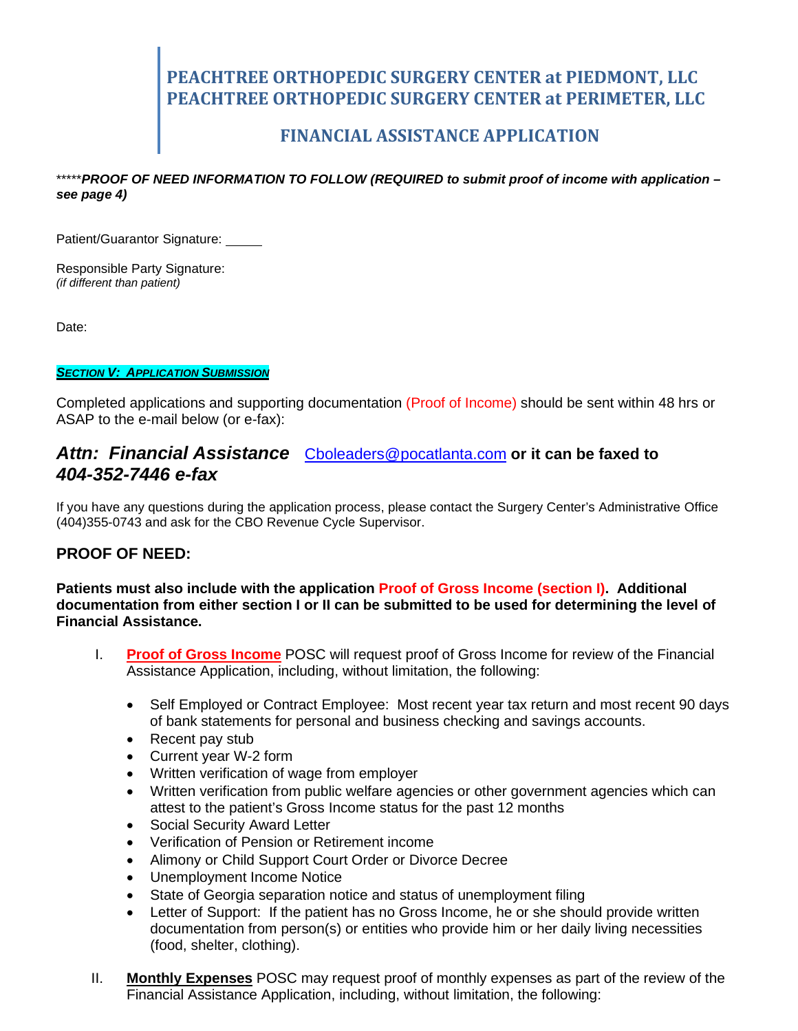## **FINANCIAL ASSISTANCE APPLICATION**

\*\*\*\*\**PROOF OF NEED INFORMATION TO FOLLOW (REQUIRED to submit proof of income with application – see page 4)*

Patient/Guarantor Signature:

Responsible Party Signature: *(if different than patient)*

Date:

### *SECTION V: APPLICATION SUBMISSION*

Completed applications and supporting documentation (Proof of Income) should be sent within 48 hrs or ASAP to the e-mail below (or e-fax):

### *Attn: Financial Assistance* [Cboleaders@pocatlanta.com](mailto:Cboleaders@pocatlanta.com) **or it can be faxed to** *404-352-7446 e-fax*

If you have any questions during the application process, please contact the Surgery Center's Administrative Office (404)355-0743 and ask for the CBO Revenue Cycle Supervisor.

### **PROOF OF NEED:**

**Patients must also include with the application Proof of Gross Income (section I). Additional documentation from either section I or II can be submitted to be used for determining the level of Financial Assistance.** 

- I. **Proof of Gross Income** POSC will request proof of Gross Income for review of the Financial Assistance Application, including, without limitation, the following:
	- Self Employed or Contract Employee: Most recent year tax return and most recent 90 days of bank statements for personal and business checking and savings accounts.
	- Recent pay stub
	- Current year W-2 form
	- Written verification of wage from employer
	- Written verification from public welfare agencies or other government agencies which can attest to the patient's Gross Income status for the past 12 months
	- Social Security Award Letter
	- Verification of Pension or Retirement income
	- Alimony or Child Support Court Order or Divorce Decree
	- Unemployment Income Notice
	- State of Georgia separation notice and status of unemployment filing
	- Letter of Support: If the patient has no Gross Income, he or she should provide written documentation from person(s) or entities who provide him or her daily living necessities (food, shelter, clothing).
- II. **Monthly Expenses** POSC may request proof of monthly expenses as part of the review of the Financial Assistance Application, including, without limitation, the following: